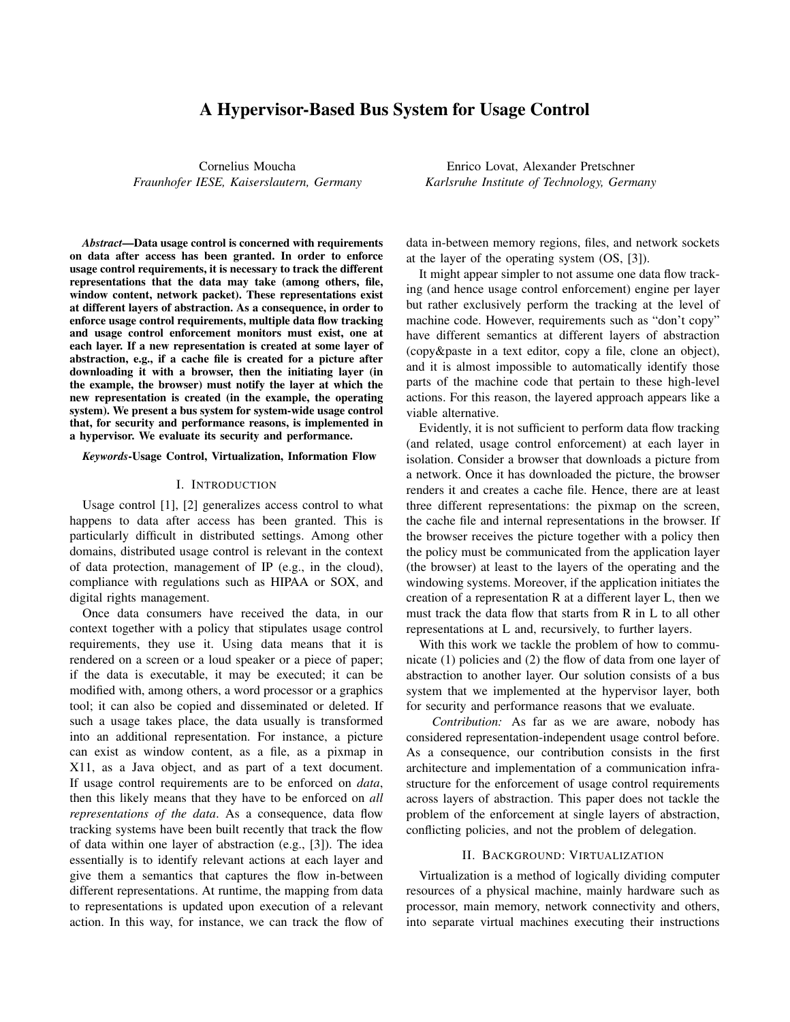# A Hypervisor-Based Bus System for Usage Control

Cornelius Moucha *Fraunhofer IESE, Kaiserslautern, Germany*

*Abstract*—Data usage control is concerned with requirements on data after access has been granted. In order to enforce usage control requirements, it is necessary to track the different representations that the data may take (among others, file, window content, network packet). These representations exist at different layers of abstraction. As a consequence, in order to enforce usage control requirements, multiple data flow tracking and usage control enforcement monitors must exist, one at each layer. If a new representation is created at some layer of abstraction, e.g., if a cache file is created for a picture after downloading it with a browser, then the initiating layer (in the example, the browser) must notify the layer at which the new representation is created (in the example, the operating system). We present a bus system for system-wide usage control that, for security and performance reasons, is implemented in a hypervisor. We evaluate its security and performance.

#### *Keywords*-Usage Control, Virtualization, Information Flow

#### I. INTRODUCTION

Usage control [1], [2] generalizes access control to what happens to data after access has been granted. This is particularly difficult in distributed settings. Among other domains, distributed usage control is relevant in the context of data protection, management of IP (e.g., in the cloud), compliance with regulations such as HIPAA or SOX, and digital rights management.

Once data consumers have received the data, in our context together with a policy that stipulates usage control requirements, they use it. Using data means that it is rendered on a screen or a loud speaker or a piece of paper; if the data is executable, it may be executed; it can be modified with, among others, a word processor or a graphics tool; it can also be copied and disseminated or deleted. If such a usage takes place, the data usually is transformed into an additional representation. For instance, a picture can exist as window content, as a file, as a pixmap in X11, as a Java object, and as part of a text document. If usage control requirements are to be enforced on *data*, then this likely means that they have to be enforced on *all representations of the data*. As a consequence, data flow tracking systems have been built recently that track the flow of data within one layer of abstraction (e.g., [3]). The idea essentially is to identify relevant actions at each layer and give them a semantics that captures the flow in-between different representations. At runtime, the mapping from data to representations is updated upon execution of a relevant action. In this way, for instance, we can track the flow of

Enrico Lovat, Alexander Pretschner *Karlsruhe Institute of Technology, Germany*

data in-between memory regions, files, and network sockets at the layer of the operating system (OS, [3]).

It might appear simpler to not assume one data flow tracking (and hence usage control enforcement) engine per layer but rather exclusively perform the tracking at the level of machine code. However, requirements such as "don't copy" have different semantics at different layers of abstraction (copy&paste in a text editor, copy a file, clone an object), and it is almost impossible to automatically identify those parts of the machine code that pertain to these high-level actions. For this reason, the layered approach appears like a viable alternative.

Evidently, it is not sufficient to perform data flow tracking (and related, usage control enforcement) at each layer in isolation. Consider a browser that downloads a picture from a network. Once it has downloaded the picture, the browser renders it and creates a cache file. Hence, there are at least three different representations: the pixmap on the screen, the cache file and internal representations in the browser. If the browser receives the picture together with a policy then the policy must be communicated from the application layer (the browser) at least to the layers of the operating and the windowing systems. Moreover, if the application initiates the creation of a representation R at a different layer L, then we must track the data flow that starts from R in L to all other representations at L and, recursively, to further layers.

With this work we tackle the problem of how to communicate (1) policies and (2) the flow of data from one layer of abstraction to another layer. Our solution consists of a bus system that we implemented at the hypervisor layer, both for security and performance reasons that we evaluate.

*Contribution:* As far as we are aware, nobody has considered representation-independent usage control before. As a consequence, our contribution consists in the first architecture and implementation of a communication infrastructure for the enforcement of usage control requirements across layers of abstraction. This paper does not tackle the problem of the enforcement at single layers of abstraction, conflicting policies, and not the problem of delegation.

# II. BACKGROUND: VIRTUALIZATION

Virtualization is a method of logically dividing computer resources of a physical machine, mainly hardware such as processor, main memory, network connectivity and others, into separate virtual machines executing their instructions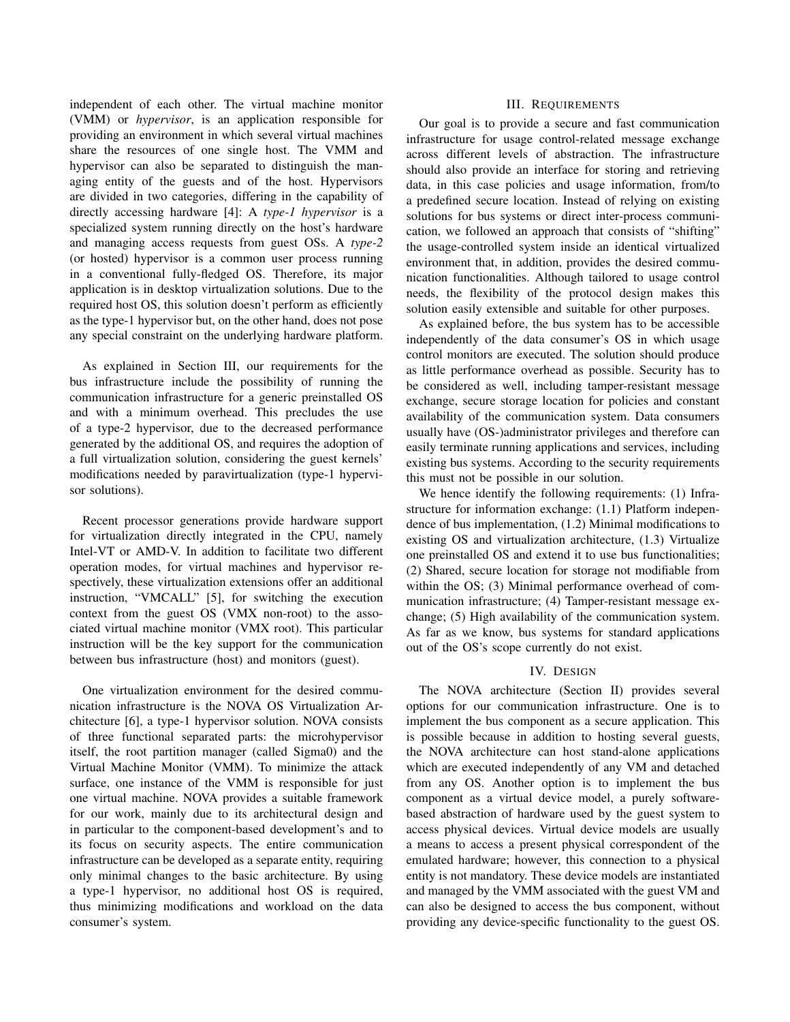independent of each other. The virtual machine monitor (VMM) or *hypervisor*, is an application responsible for providing an environment in which several virtual machines share the resources of one single host. The VMM and hypervisor can also be separated to distinguish the managing entity of the guests and of the host. Hypervisors are divided in two categories, differing in the capability of directly accessing hardware [4]: A *type-1 hypervisor* is a specialized system running directly on the host's hardware and managing access requests from guest OSs. A *type-2* (or hosted) hypervisor is a common user process running in a conventional fully-fledged OS. Therefore, its major application is in desktop virtualization solutions. Due to the required host OS, this solution doesn't perform as efficiently as the type-1 hypervisor but, on the other hand, does not pose any special constraint on the underlying hardware platform.

As explained in Section III, our requirements for the bus infrastructure include the possibility of running the communication infrastructure for a generic preinstalled OS and with a minimum overhead. This precludes the use of a type-2 hypervisor, due to the decreased performance generated by the additional OS, and requires the adoption of a full virtualization solution, considering the guest kernels' modifications needed by paravirtualization (type-1 hypervisor solutions).

Recent processor generations provide hardware support for virtualization directly integrated in the CPU, namely Intel-VT or AMD-V. In addition to facilitate two different operation modes, for virtual machines and hypervisor respectively, these virtualization extensions offer an additional instruction, "VMCALL" [5], for switching the execution context from the guest OS (VMX non-root) to the associated virtual machine monitor (VMX root). This particular instruction will be the key support for the communication between bus infrastructure (host) and monitors (guest).

One virtualization environment for the desired communication infrastructure is the NOVA OS Virtualization Architecture [6], a type-1 hypervisor solution. NOVA consists of three functional separated parts: the microhypervisor itself, the root partition manager (called Sigma0) and the Virtual Machine Monitor (VMM). To minimize the attack surface, one instance of the VMM is responsible for just one virtual machine. NOVA provides a suitable framework for our work, mainly due to its architectural design and in particular to the component-based development's and to its focus on security aspects. The entire communication infrastructure can be developed as a separate entity, requiring only minimal changes to the basic architecture. By using a type-1 hypervisor, no additional host OS is required, thus minimizing modifications and workload on the data consumer's system.

## III. REQUIREMENTS

Our goal is to provide a secure and fast communication infrastructure for usage control-related message exchange across different levels of abstraction. The infrastructure should also provide an interface for storing and retrieving data, in this case policies and usage information, from/to a predefined secure location. Instead of relying on existing solutions for bus systems or direct inter-process communication, we followed an approach that consists of "shifting" the usage-controlled system inside an identical virtualized environment that, in addition, provides the desired communication functionalities. Although tailored to usage control needs, the flexibility of the protocol design makes this solution easily extensible and suitable for other purposes.

As explained before, the bus system has to be accessible independently of the data consumer's OS in which usage control monitors are executed. The solution should produce as little performance overhead as possible. Security has to be considered as well, including tamper-resistant message exchange, secure storage location for policies and constant availability of the communication system. Data consumers usually have (OS-)administrator privileges and therefore can easily terminate running applications and services, including existing bus systems. According to the security requirements this must not be possible in our solution.

We hence identify the following requirements: (1) Infrastructure for information exchange: (1.1) Platform independence of bus implementation, (1.2) Minimal modifications to existing OS and virtualization architecture, (1.3) Virtualize one preinstalled OS and extend it to use bus functionalities; (2) Shared, secure location for storage not modifiable from within the OS; (3) Minimal performance overhead of communication infrastructure; (4) Tamper-resistant message exchange; (5) High availability of the communication system. As far as we know, bus systems for standard applications out of the OS's scope currently do not exist.

# IV. DESIGN

The NOVA architecture (Section II) provides several options for our communication infrastructure. One is to implement the bus component as a secure application. This is possible because in addition to hosting several guests, the NOVA architecture can host stand-alone applications which are executed independently of any VM and detached from any OS. Another option is to implement the bus component as a virtual device model, a purely softwarebased abstraction of hardware used by the guest system to access physical devices. Virtual device models are usually a means to access a present physical correspondent of the emulated hardware; however, this connection to a physical entity is not mandatory. These device models are instantiated and managed by the VMM associated with the guest VM and can also be designed to access the bus component, without providing any device-specific functionality to the guest OS.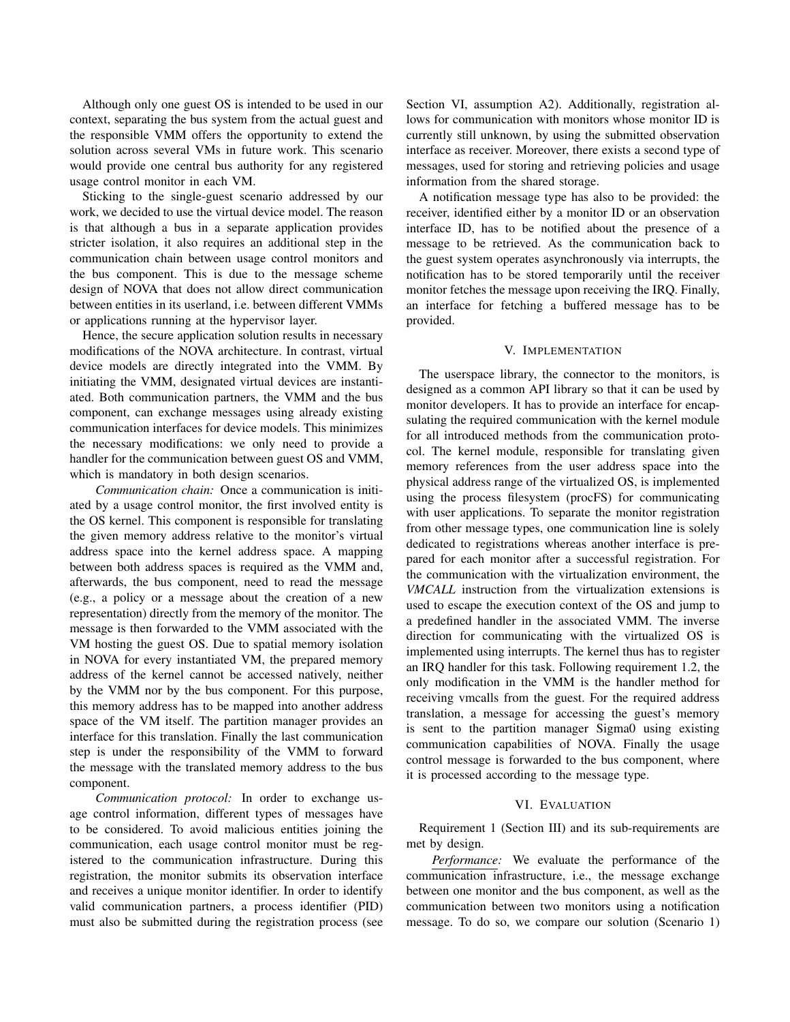Although only one guest OS is intended to be used in our context, separating the bus system from the actual guest and the responsible VMM offers the opportunity to extend the solution across several VMs in future work. This scenario would provide one central bus authority for any registered usage control monitor in each VM.

Sticking to the single-guest scenario addressed by our work, we decided to use the virtual device model. The reason is that although a bus in a separate application provides stricter isolation, it also requires an additional step in the communication chain between usage control monitors and the bus component. This is due to the message scheme design of NOVA that does not allow direct communication between entities in its userland, i.e. between different VMMs or applications running at the hypervisor layer.

Hence, the secure application solution results in necessary modifications of the NOVA architecture. In contrast, virtual device models are directly integrated into the VMM. By initiating the VMM, designated virtual devices are instantiated. Both communication partners, the VMM and the bus component, can exchange messages using already existing communication interfaces for device models. This minimizes the necessary modifications: we only need to provide a handler for the communication between guest OS and VMM, which is mandatory in both design scenarios.

*Communication chain:* Once a communication is initiated by a usage control monitor, the first involved entity is the OS kernel. This component is responsible for translating the given memory address relative to the monitor's virtual address space into the kernel address space. A mapping between both address spaces is required as the VMM and, afterwards, the bus component, need to read the message (e.g., a policy or a message about the creation of a new representation) directly from the memory of the monitor. The message is then forwarded to the VMM associated with the VM hosting the guest OS. Due to spatial memory isolation in NOVA for every instantiated VM, the prepared memory address of the kernel cannot be accessed natively, neither by the VMM nor by the bus component. For this purpose, this memory address has to be mapped into another address space of the VM itself. The partition manager provides an interface for this translation. Finally the last communication step is under the responsibility of the VMM to forward the message with the translated memory address to the bus component.

*Communication protocol:* In order to exchange usage control information, different types of messages have to be considered. To avoid malicious entities joining the communication, each usage control monitor must be registered to the communication infrastructure. During this registration, the monitor submits its observation interface and receives a unique monitor identifier. In order to identify valid communication partners, a process identifier (PID) must also be submitted during the registration process (see Section VI, assumption A2). Additionally, registration allows for communication with monitors whose monitor ID is currently still unknown, by using the submitted observation interface as receiver. Moreover, there exists a second type of messages, used for storing and retrieving policies and usage information from the shared storage.

A notification message type has also to be provided: the receiver, identified either by a monitor ID or an observation interface ID, has to be notified about the presence of a message to be retrieved. As the communication back to the guest system operates asynchronously via interrupts, the notification has to be stored temporarily until the receiver monitor fetches the message upon receiving the IRQ. Finally, an interface for fetching a buffered message has to be provided.

## V. IMPLEMENTATION

The userspace library, the connector to the monitors, is designed as a common API library so that it can be used by monitor developers. It has to provide an interface for encapsulating the required communication with the kernel module for all introduced methods from the communication protocol. The kernel module, responsible for translating given memory references from the user address space into the physical address range of the virtualized OS, is implemented using the process filesystem (procFS) for communicating with user applications. To separate the monitor registration from other message types, one communication line is solely dedicated to registrations whereas another interface is prepared for each monitor after a successful registration. For the communication with the virtualization environment, the *VMCALL* instruction from the virtualization extensions is used to escape the execution context of the OS and jump to a predefined handler in the associated VMM. The inverse direction for communicating with the virtualized OS is implemented using interrupts. The kernel thus has to register an IRQ handler for this task. Following requirement 1.2, the only modification in the VMM is the handler method for receiving vmcalls from the guest. For the required address translation, a message for accessing the guest's memory is sent to the partition manager Sigma0 using existing communication capabilities of NOVA. Finally the usage control message is forwarded to the bus component, where it is processed according to the message type.

## VI. EVALUATION

Requirement 1 (Section III) and its sub-requirements are met by design.

*Performance:* We evaluate the performance of the communication infrastructure, i.e., the message exchange between one monitor and the bus component, as well as the communication between two monitors using a notification message. To do so, we compare our solution (Scenario 1)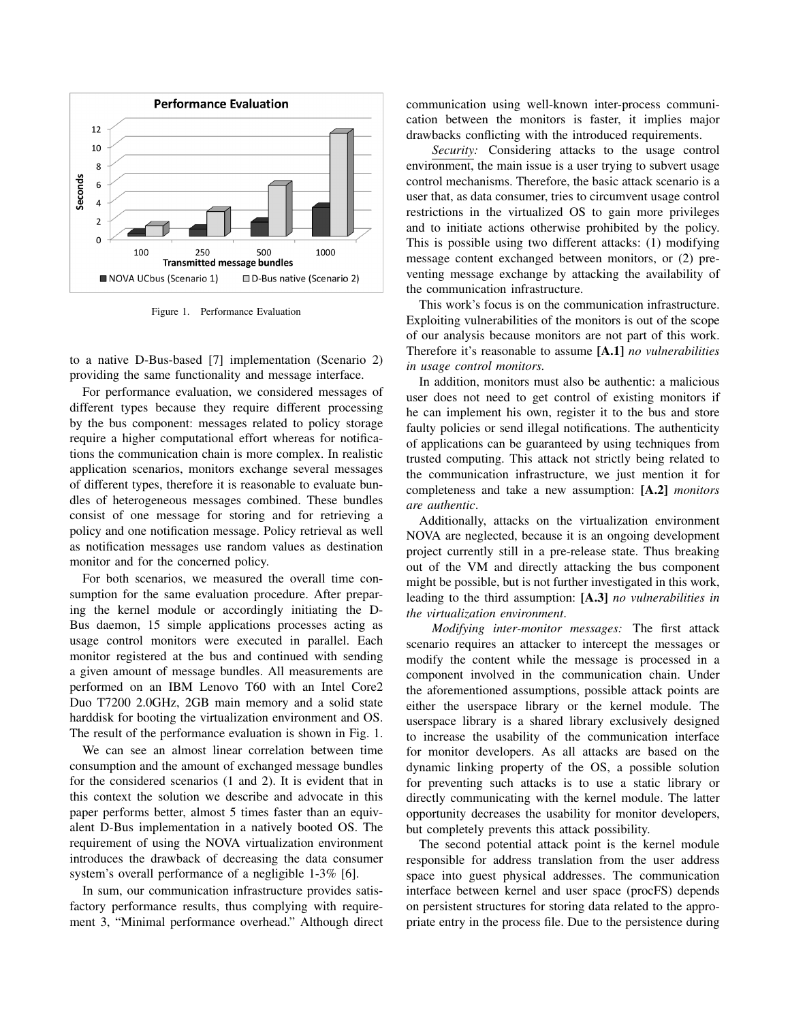

Figure 1. Performance Evaluation

to a native D-Bus-based [7] implementation (Scenario 2) providing the same functionality and message interface.

For performance evaluation, we considered messages of different types because they require different processing by the bus component: messages related to policy storage require a higher computational effort whereas for notifications the communication chain is more complex. In realistic application scenarios, monitors exchange several messages of different types, therefore it is reasonable to evaluate bundles of heterogeneous messages combined. These bundles consist of one message for storing and for retrieving a policy and one notification message. Policy retrieval as well as notification messages use random values as destination monitor and for the concerned policy.

For both scenarios, we measured the overall time consumption for the same evaluation procedure. After preparing the kernel module or accordingly initiating the D-Bus daemon, 15 simple applications processes acting as usage control monitors were executed in parallel. Each monitor registered at the bus and continued with sending a given amount of message bundles. All measurements are performed on an IBM Lenovo T60 with an Intel Core2 Duo T7200 2.0GHz, 2GB main memory and a solid state harddisk for booting the virtualization environment and OS. The result of the performance evaluation is shown in Fig. 1.

We can see an almost linear correlation between time consumption and the amount of exchanged message bundles for the considered scenarios (1 and 2). It is evident that in this context the solution we describe and advocate in this paper performs better, almost 5 times faster than an equivalent D-Bus implementation in a natively booted OS. The requirement of using the NOVA virtualization environment introduces the drawback of decreasing the data consumer system's overall performance of a negligible 1-3% [6].

In sum, our communication infrastructure provides satisfactory performance results, thus complying with requirement 3, "Minimal performance overhead." Although direct communication using well-known inter-process communication between the monitors is faster, it implies major drawbacks conflicting with the introduced requirements.

*Security:* Considering attacks to the usage control environment, the main issue is a user trying to subvert usage control mechanisms. Therefore, the basic attack scenario is a user that, as data consumer, tries to circumvent usage control restrictions in the virtualized OS to gain more privileges and to initiate actions otherwise prohibited by the policy. This is possible using two different attacks: (1) modifying message content exchanged between monitors, or (2) preventing message exchange by attacking the availability of the communication infrastructure.

This work's focus is on the communication infrastructure. Exploiting vulnerabilities of the monitors is out of the scope of our analysis because monitors are not part of this work. Therefore it's reasonable to assume [A.1] *no vulnerabilities in usage control monitors.*

In addition, monitors must also be authentic: a malicious user does not need to get control of existing monitors if he can implement his own, register it to the bus and store faulty policies or send illegal notifications. The authenticity of applications can be guaranteed by using techniques from trusted computing. This attack not strictly being related to the communication infrastructure, we just mention it for completeness and take a new assumption: [A.2] *monitors are authentic*.

Additionally, attacks on the virtualization environment NOVA are neglected, because it is an ongoing development project currently still in a pre-release state. Thus breaking out of the VM and directly attacking the bus component might be possible, but is not further investigated in this work, leading to the third assumption: [A.3] *no vulnerabilities in the virtualization environment*.

*Modifying inter-monitor messages:* The first attack scenario requires an attacker to intercept the messages or modify the content while the message is processed in a component involved in the communication chain. Under the aforementioned assumptions, possible attack points are either the userspace library or the kernel module. The userspace library is a shared library exclusively designed to increase the usability of the communication interface for monitor developers. As all attacks are based on the dynamic linking property of the OS, a possible solution for preventing such attacks is to use a static library or directly communicating with the kernel module. The latter opportunity decreases the usability for monitor developers, but completely prevents this attack possibility.

The second potential attack point is the kernel module responsible for address translation from the user address space into guest physical addresses. The communication interface between kernel and user space (procFS) depends on persistent structures for storing data related to the appropriate entry in the process file. Due to the persistence during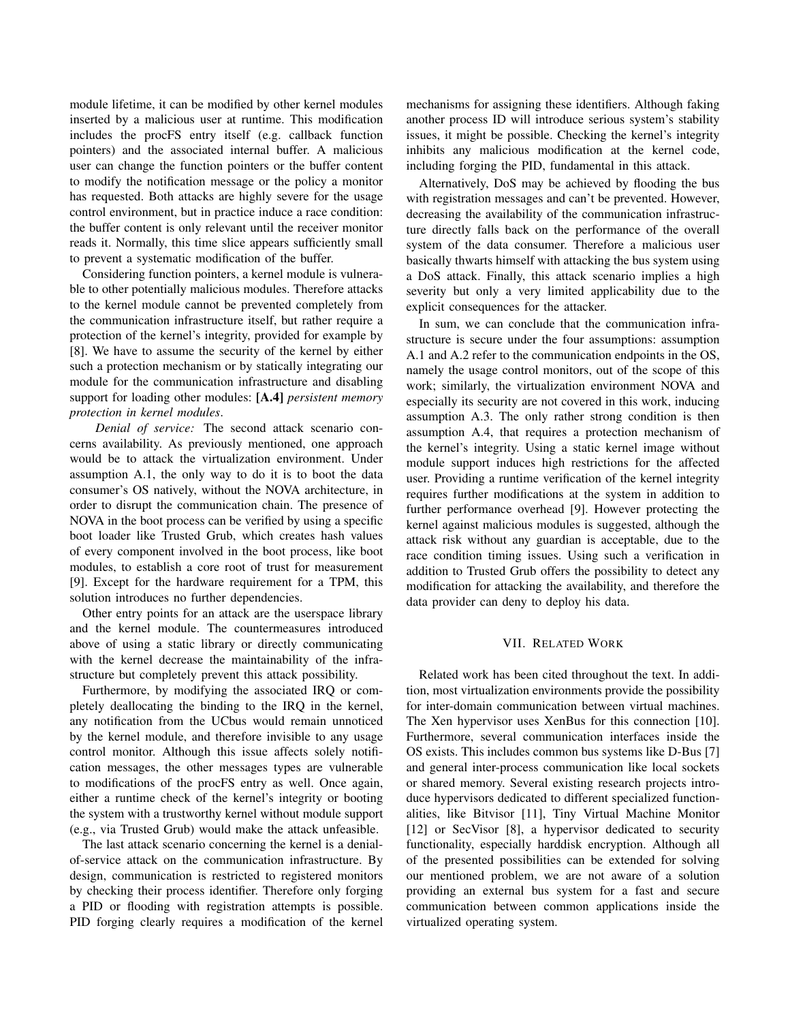module lifetime, it can be modified by other kernel modules inserted by a malicious user at runtime. This modification includes the procFS entry itself (e.g. callback function pointers) and the associated internal buffer. A malicious user can change the function pointers or the buffer content to modify the notification message or the policy a monitor has requested. Both attacks are highly severe for the usage control environment, but in practice induce a race condition: the buffer content is only relevant until the receiver monitor reads it. Normally, this time slice appears sufficiently small to prevent a systematic modification of the buffer.

Considering function pointers, a kernel module is vulnerable to other potentially malicious modules. Therefore attacks to the kernel module cannot be prevented completely from the communication infrastructure itself, but rather require a protection of the kernel's integrity, provided for example by [8]. We have to assume the security of the kernel by either such a protection mechanism or by statically integrating our module for the communication infrastructure and disabling support for loading other modules: [A.4] *persistent memory protection in kernel modules*.

*Denial of service:* The second attack scenario concerns availability. As previously mentioned, one approach would be to attack the virtualization environment. Under assumption A.1, the only way to do it is to boot the data consumer's OS natively, without the NOVA architecture, in order to disrupt the communication chain. The presence of NOVA in the boot process can be verified by using a specific boot loader like Trusted Grub, which creates hash values of every component involved in the boot process, like boot modules, to establish a core root of trust for measurement [9]. Except for the hardware requirement for a TPM, this solution introduces no further dependencies.

Other entry points for an attack are the userspace library and the kernel module. The countermeasures introduced above of using a static library or directly communicating with the kernel decrease the maintainability of the infrastructure but completely prevent this attack possibility.

Furthermore, by modifying the associated IRQ or completely deallocating the binding to the IRQ in the kernel, any notification from the UCbus would remain unnoticed by the kernel module, and therefore invisible to any usage control monitor. Although this issue affects solely notification messages, the other messages types are vulnerable to modifications of the procFS entry as well. Once again, either a runtime check of the kernel's integrity or booting the system with a trustworthy kernel without module support (e.g., via Trusted Grub) would make the attack unfeasible.

The last attack scenario concerning the kernel is a denialof-service attack on the communication infrastructure. By design, communication is restricted to registered monitors by checking their process identifier. Therefore only forging a PID or flooding with registration attempts is possible. PID forging clearly requires a modification of the kernel mechanisms for assigning these identifiers. Although faking another process ID will introduce serious system's stability issues, it might be possible. Checking the kernel's integrity inhibits any malicious modification at the kernel code, including forging the PID, fundamental in this attack.

Alternatively, DoS may be achieved by flooding the bus with registration messages and can't be prevented. However, decreasing the availability of the communication infrastructure directly falls back on the performance of the overall system of the data consumer. Therefore a malicious user basically thwarts himself with attacking the bus system using a DoS attack. Finally, this attack scenario implies a high severity but only a very limited applicability due to the explicit consequences for the attacker.

In sum, we can conclude that the communication infrastructure is secure under the four assumptions: assumption A.1 and A.2 refer to the communication endpoints in the OS, namely the usage control monitors, out of the scope of this work; similarly, the virtualization environment NOVA and especially its security are not covered in this work, inducing assumption A.3. The only rather strong condition is then assumption A.4, that requires a protection mechanism of the kernel's integrity. Using a static kernel image without module support induces high restrictions for the affected user. Providing a runtime verification of the kernel integrity requires further modifications at the system in addition to further performance overhead [9]. However protecting the kernel against malicious modules is suggested, although the attack risk without any guardian is acceptable, due to the race condition timing issues. Using such a verification in addition to Trusted Grub offers the possibility to detect any modification for attacking the availability, and therefore the data provider can deny to deploy his data.

## VII. RELATED WORK

Related work has been cited throughout the text. In addition, most virtualization environments provide the possibility for inter-domain communication between virtual machines. The Xen hypervisor uses XenBus for this connection [10]. Furthermore, several communication interfaces inside the OS exists. This includes common bus systems like D-Bus [7] and general inter-process communication like local sockets or shared memory. Several existing research projects introduce hypervisors dedicated to different specialized functionalities, like Bitvisor [11], Tiny Virtual Machine Monitor [12] or SecVisor [8], a hypervisor dedicated to security functionality, especially harddisk encryption. Although all of the presented possibilities can be extended for solving our mentioned problem, we are not aware of a solution providing an external bus system for a fast and secure communication between common applications inside the virtualized operating system.